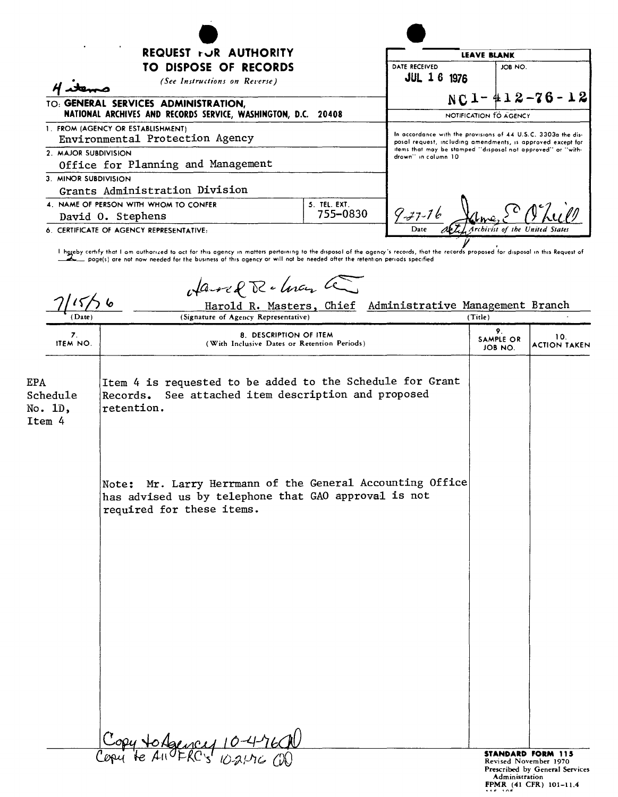| REQUEST FUR AUTHORITY                                                                                                                                                                                                                                                                                                                                                                                                                                                                   |                                 | <b>LEAVE BLANK</b>                                                                                                                                                                          |  |
|-----------------------------------------------------------------------------------------------------------------------------------------------------------------------------------------------------------------------------------------------------------------------------------------------------------------------------------------------------------------------------------------------------------------------------------------------------------------------------------------|---------------------------------|---------------------------------------------------------------------------------------------------------------------------------------------------------------------------------------------|--|
| TO DISPOSE OF RECORDS<br>(See Instructions on Reverse)                                                                                                                                                                                                                                                                                                                                                                                                                                  | DATE RECEIVED<br>JUL 16<br>1976 | JOB NO.                                                                                                                                                                                     |  |
| TO: GENERAL SERVICES ADMINISTRATION,<br>NATIONAL ARCHIVES AND RECORDS SERVICE, WASHINGTON, D.C.<br>20408                                                                                                                                                                                                                                                                                                                                                                                |                                 | $NC1 - 412 - 76 - 12$<br>NOTIFICATION TO AGENCY                                                                                                                                             |  |
| 1. FROM (AGENCY OR ESTABLISHMENT)<br>Environmental Protection Agency<br>2. MAJOR SUBDIVISION                                                                                                                                                                                                                                                                                                                                                                                            | drown'' in column 10            | In accordance with the provisions of 44 U.S.C. 3303a the dis-<br>posal request, including amendments, is approved except for<br>items that may be stamped "disposal not approved" or "with- |  |
| Office for Planning and Management<br>3. MINOR SUBDIVISION<br>Grants Administration Division                                                                                                                                                                                                                                                                                                                                                                                            |                                 |                                                                                                                                                                                             |  |
| 5. TEL. EXT.<br>4. NAME OF PERSON WITH WHOM TO CONFER<br>755-0830<br>David O. Stephens                                                                                                                                                                                                                                                                                                                                                                                                  | $9 - 7 - 76$                    |                                                                                                                                                                                             |  |
| 6. CERTIFICATE OF AGENCY REPRESENTATIVE:<br>I hereby certify that I am authorized to act for this agency in matters pertaining to the disposal of the agency's records, that the records proposed for disposal in this Request of<br>poge(s) are not now needed for the business of this agency or will not be needed ofter the retention periods specified<br>Harred R. - Lucy Co<br>Harold R. Masters, Chief Administrative Management Branch<br>(Signature of Agency Representative) | (Title)                         |                                                                                                                                                                                             |  |
| 8. DESCRIPTION OF ITEM<br>7.<br><b>ITEM NO.</b><br>(With Inclusive Dates or Retention Periods)                                                                                                                                                                                                                                                                                                                                                                                          |                                 | 9.<br>10.<br><b>SAMPLE OR</b><br><b>ACTION TAKEN</b><br>JOB NO.                                                                                                                             |  |

| (Date)                                      | counted accurer<br>Harold R. Masters, Chief Administrative Management Branch<br>(Signature of Agency Representative)                           | (Title)                        |                                                                                                               |
|---------------------------------------------|------------------------------------------------------------------------------------------------------------------------------------------------|--------------------------------|---------------------------------------------------------------------------------------------------------------|
| 7.<br>ITEM NO.                              | 8. DESCRIPTION OF ITEM<br>(With Inclusive Dates or Retention Periods)                                                                          | 9.<br>SAMPLE OR<br>JOB NO.     | 10.<br><b>ACTION TAKEN</b>                                                                                    |
| <b>EPA</b><br>Schedule<br>No. 1D,<br>Item 4 | Item 4 is requested to be added to the Schedule for Grant<br>See attached item description and proposed<br>Records.<br>retention.              |                                |                                                                                                               |
|                                             | Note: Mr. Larry Herrmann of the General Accounting Office<br>has advised us by telephone that GAO approval is not<br>required for these items. |                                |                                                                                                               |
|                                             |                                                                                                                                                |                                |                                                                                                               |
|                                             |                                                                                                                                                |                                |                                                                                                               |
|                                             | Copy to Agency 10-4-7600<br>Copy to An FRC's 10-21-7600                                                                                        | <b>Administration</b><br>18.30 | <b>STANDARD FORM 115</b><br>Revised November 1970<br>Prescribed by General Services<br>FPMR (41 CFR) 101-11.4 |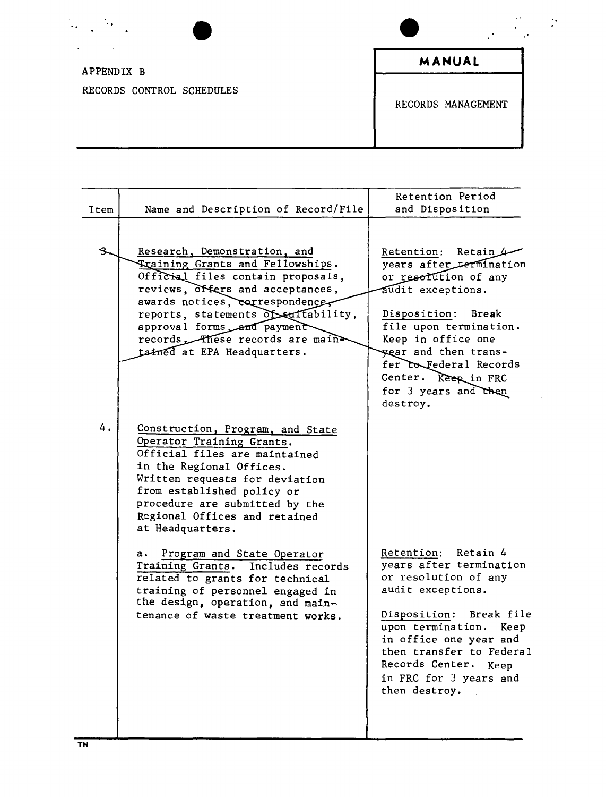| $\ddot{\phantom{a}}$      | $\cdots$<br>$\cdot$ . | ٠. |
|---------------------------|-----------------------|----|
| APPENDIX B                | MANUAL                |    |
| RECORDS CONTROL SCHEDULES | RECORDS MANAGEMENT    |    |
|                           |                       |    |

|      |                                                                                                                                                                                                                                                                                                                    | Retention Period                                                                                                                                                                                                                                                                              |
|------|--------------------------------------------------------------------------------------------------------------------------------------------------------------------------------------------------------------------------------------------------------------------------------------------------------------------|-----------------------------------------------------------------------------------------------------------------------------------------------------------------------------------------------------------------------------------------------------------------------------------------------|
| Item | Name and Description of Record/File                                                                                                                                                                                                                                                                                | and Disposition                                                                                                                                                                                                                                                                               |
| ዱ    | Research, Demonstration, and<br>Training Grants and Fellowships.<br>Official files contain proposals,<br>reviews, offers and acceptances,<br>awards notices, correspondence,<br>reports, statements of suffability,<br>approval forms and payment<br>records These records are main<br>tained at EPA Headquarters. | Retention:<br>Retain $\mathcal{L}$<br>years after termination<br>or resolution of any<br>audit exceptions.<br>Disposition: Break<br>file upon termination.<br>Keep in office one<br>year and then trans-<br>fer to Federal Records<br>Center. Keep in FRC<br>for 3 years and then<br>destroy. |
| 4.   | Construction, Program, and State<br>Operator Training Grants.<br>Official files are maintained<br>in the Regional Offices.<br>Written requests for deviation<br>from established policy or<br>procedure are submitted by the<br>Regional Offices and retained<br>at Headquarters.                                  |                                                                                                                                                                                                                                                                                               |
|      | Program and State Operator<br>а.<br>Training Grants. Includes records<br>related to grants for technical<br>training of personnel engaged in<br>the design, operation, and main-<br>tenance of waste treatment works.                                                                                              | Retention: Retain 4<br>years after termination<br>or resolution of any<br>audit exceptions.<br>Break file<br>Disposition:<br>upon termination. Keep<br>in office one year and<br>then transfer to Federal<br>Records Center. Keep<br>in FRC for 3 years and<br>then destroy.                  |